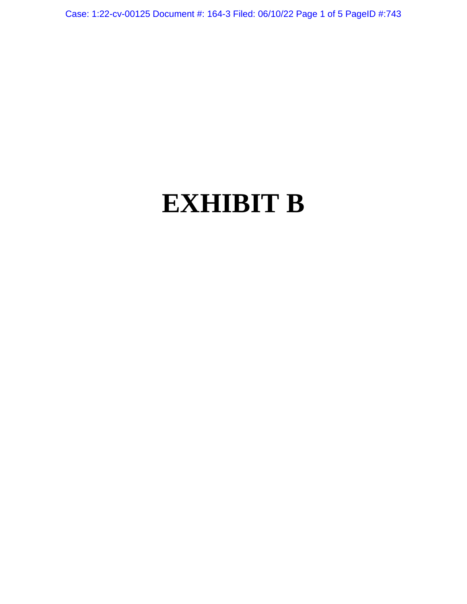Case: 1:22-cv-00125 Document #: 164-3 Filed: 06/10/22 Page 1 of 5 PageID #:743

# **EXHIBIT B**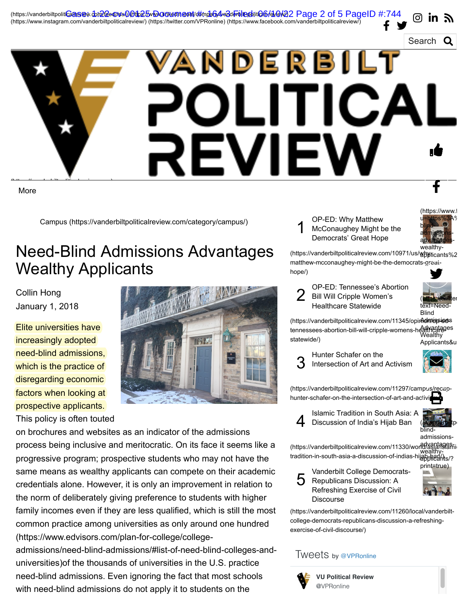## Search VANDERBILT LITICA REVIEW ıÈ *http://www.mail.in.com/* f

(https://vanderbiltpoliticalreview.com/feed/rss/) (https://www.linkedin.com/company/vanderbilt-political-review/) [Case: 1:22-cv-00125 Document #: 164-3 Filed: 06/10/22 Page 2 of 5 PageID #:744](https://vanderbiltpoliticalreview.com/feed/rss/)

(https://www.instagram.com/vanderbiltpoliticalreview/) (https://twitter.com/VPRonline) [\(https://www.facebook.com/vanderbiltpoliticalreview/\)](https://twitter.com/VPRonline)

More

[Campus \(https://vanderbiltpoliticalreview.com/category/campus/\)](https://vanderbiltpoliticalreview.com/category/campus/)

### Need-Blind Admissions Advantages Wealthy Applicants

Collin Hong January 1, 2018

Elite universities have increasingly adopted need-blind admissions, which is the practice of disregarding economic factors when looking at prospective applicants.



This policy is often touted on brochures and websites as an indicator of the admissions process being inclusive and meritocratic. On its face it seems like a progressive program; prospective students who may not have the same means as wealthy applicants can compete on their academic credentials alone. However, it is only an improvement in relation to the norm of deliberately giving preference to students with higher family incomes even if they are less qualified, which is still the most common practice among universities as only around one hundred (https://www.edvisors.com/plan-for-college/college-

[admissions/need-blind-admissions/#list-of-need-blind-colleges-and](https://www.edvisors.com/plan-for-college/college-admissions/need-blind-admissions/#list-of-need-blind-colleges-and-universities)universities)of the thousands of universities in the U.S. practice need-blind admissions. Even ignoring the fact that most schools with need-blind admissions do not apply it to students on the

1 OP-ED: Why Matthew McConaughey Might be the Democrats' Great Hope



രി **in** 

(https://vanderbiltpoliticalreview.com/10971/us/webyticants%2 [matthew-mcconaughey-might-be-the-democrats-great](https://vanderbiltpoliticalreview.com/10971/us/why-matthew-mcconaughey-might-be-the-democrats-great-hope/)hope/) wealthy Y.

2 OP-ED: Tennessee's Abortion Bill Will Cripple Women's Healthcare Statewide



(https://vanderbiltpoliticalreview.com/11345/opinAdmissions tennessees-abortion-bill-will-cripple-womens-healthcareges statewide/) **Wealthy** Applicants&u



 $\sum_{\mathbf{k}}$ 

[\(https://vanderbiltpoliticalreview.com/11297/campus/recap](https://vanderbiltpoliticalreview.com/11297/campus/recap-hunter-schafer-on-the-intersection-of-art-and-activism/)hunter-schafer-on-the-intersection-of-art-and-activi 8

4 Islamic Tradition in South Asia: A Discussion of India's Hijab Ban



blindadmissions-

(https://vanderbiltpoliticalreview.com/11330/world/asiafassanti tradition-in-south-asia-a-discussion-of-indias-hijab-ban/) wealthyapplicants/?

5 Vanderbilt College Democrats-Republicans Discussion: A Refreshing Exercise of Civil Discourse



[\(https://vanderbiltpoliticalreview.com/11260/local/vanderbilt](https://vanderbiltpoliticalreview.com/11260/local/vanderbilt-college-democrats-republicans-discussion-a-refreshing-exercise-of-civil-discourse/)college-democrats-republicans-discussion-a-refreshingexercise-of-civil-discourse/)

#### Tweets by [@VPRonline](https://twitter.com/VPRonline)



**[VU Political Review](https://twitter.com/VPRonline)** @VPRonline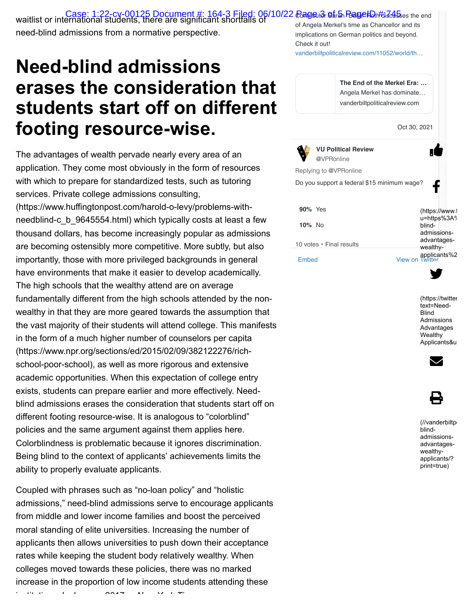pp y waitlist or international students, there are significant shortfalls of *106/10/22 <del>Rage เล โอเม</del>อป ปุตร์ เล ออเม*<br>waitlist or international students, there are significant shortfalls of need-blind admissions from a normative perspective. of Angela Merkel's time as Chancellor and its implications on German politics and beyond.

### **Need-blind admissions erases the consideration that students start off on different footing resource-wise.**

The advantages of wealth pervade nearly every area of an application. They come most obviously in the form of resources with which to prepare for standardized tests, such as tutoring services. Private college admissions consulting, [\(https://www.huffingtonpost.com/harold-o-levy/problems-with](https://www.huffingtonpost.com/harold-o-levy/problems-with-needblind-c_b_9645554.html)needblind-c\_b\_9645554.html) which typically costs at least a few thousand dollars, has become increasingly popular as admissions are becoming ostensibly more competitive. More subtly, but also importantly, those with more privileged backgrounds in general have environments that make it easier to develop academically. The high schools that the wealthy attend are on average fundamentally different from the high schools attended by the nonwealthy in that they are more geared towards the assumption that the vast majority of their students will attend college. This manifests in the form of a much higher number of counselors per capita [\(https://www.npr.org/sections/ed/2015/02/09/382122276/rich](https://www.npr.org/sections/ed/2015/02/09/382122276/rich-school-poor-school)school-poor-school), as well as more rigorous and extensive academic opportunities. When this expectation of college entry exists, students can prepare earlier and more effectively. Needblind admissions erases the consideration that students start off on different footing resource-wise. It is analogous to "colorblind" policies and the same argument against them applies here. Colorblindness is problematic because it ignores discrimination. Being blind to the context of applicants' achievements limits the ability to properly evaluate applicants.

Coupled with phrases such as "no-loan policy" and "holistic admissions," need-blind admissions serve to encourage applicants from middle and lower income families and boost the perceived moral standing of elite universities. Increasing the number of applicants then allows universities to push down their acceptance rates while keeping the student body relatively wealthy. When colleges moved towards these policies, there was no marked increase in the proportion of low income students attending these

i tit ti I J [2017](https://www.nytimes.com/interactive/2017/01/18/upshot/some-colleges-have-more-students-from-the-top-1-percenhttps:/www.nytimes.com/interactive/2017/01/18/upshot/some-colleges-have-more-students-from-the-top-1-percent-than-the-bottom-60.htmlt-than-the-bottom-60.html) *N Y k Ti*



[\(https://twitter](https://twitter.com/intent/tweet?text=Need-Blind%20Admissions%20Advantages%20Wealthy%20Applicants&url=https%3A%2F%2Fvanderbiltpoliticalreview.com%2F%3Fp%3D6372) text=Need-**Blind** Admissions Advantages **Wealthy** Applicants&u



|--|

(//vanderbiltp blindadmissionsadvantageswealthyapplicants/? print=true)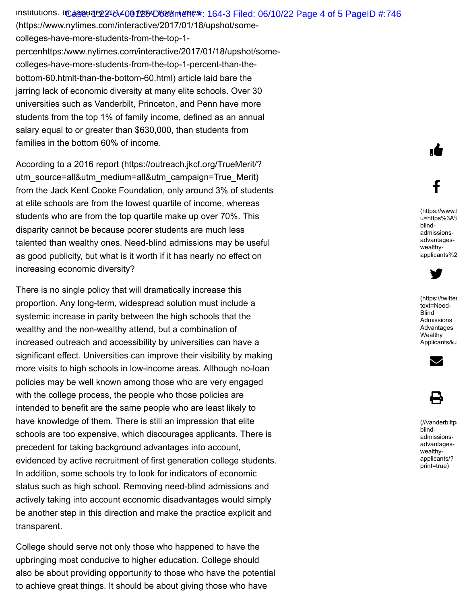institutions. In daaeuary 24tV-00125WD607Km/ene#: 164-3 Filed: 06/10/22 Page 4 of 5 PageID #:746 (https://www.nytimes.com/interactive/2017/01/18/upshot/somecolleges-have-more-students-from-the-top-1 [percenhttps:/www.nytimes.com/interactive/2017/01/18/upshot/some](https://www.nytimes.com/interactive/2017/01/18/upshot/some-colleges-have-more-students-from-the-top-1-percenhttps:/www.nytimes.com/interactive/2017/01/18/upshot/some-colleges-have-more-students-from-the-top-1-percent-than-the-bottom-60.htmlt-than-the-bottom-60.html)colleges-have-more-students-from-the-top-1-percent-than-thebottom-60.htmlt-than-the-bottom-60.html) article laid bare the jarring lack of economic diversity at many elite schools. Over 30 universities such as Vanderbilt, Princeton, and Penn have more students from the top 1% of family income, defined as an annual salary equal to or greater than \$630,000, than students from families in the bottom 60% of income.

According to a 2016 report (https://outreach.jkcf.org/TrueMerit/? [utm\\_source=all&utm\\_medium=all&utm\\_campaign=True\\_Merit\)](https://outreach.jkcf.org/TrueMerit/?utm_source=all&utm_medium=all&utm_campaign=True_Merit) from the Jack Kent Cooke Foundation, only around 3% of students at elite schools are from the lowest quartile of income, whereas students who are from the top quartile make up over 70%. This disparity cannot be because poorer students are much less talented than wealthy ones. Need-blind admissions may be useful as good publicity, but what is it worth if it has nearly no effect on increasing economic diversity?

There is no single policy that will dramatically increase this proportion. Any long-term, widespread solution must include a systemic increase in parity between the high schools that the wealthy and the non-wealthy attend, but a combination of increased outreach and accessibility by universities can have a significant effect. Universities can improve their visibility by making more visits to high schools in low-income areas. Although no-loan policies may be well known among those who are very engaged with the college process, the people who those policies are intended to benefit are the same people who are least likely to have knowledge of them. There is still an impression that elite schools are too expensive, which discourages applicants. There is precedent for taking background advantages into account, evidenced by active recruitment of first generation college students. In addition, some schools try to look for indicators of economic status such as high school. Removing need-blind admissions and actively taking into account economic disadvantages would simply be another step in this direction and make the practice explicit and transparent.

College should serve not only those who happened to have the upbringing most conducive to higher education. College should also be about providing opportunity to those who have the potential to achieve great things. It should be about giving those who have

[\(https://www.f](https://www.facebook.com/sharer/sharer.php?u=https%3A%2F%2Fvanderbiltpoliticalreview.com%2F6372%2Fcampus%2Fneed-blind-admissions-advantages-wealthy-applicants%2F) u=https%3A% blindadmissionsadvantageswealthyapplicants%2

ıÈ

f



[\(https://twitter](https://twitter.com/intent/tweet?text=Need-Blind%20Admissions%20Advantages%20Wealthy%20Applicants&url=https%3A%2F%2Fvanderbiltpoliticalreview.com%2F%3Fp%3D6372) text=Need-**Blind** Admissions Advantages **Wealthy** Applicants&u



8

(//vanderbiltp blindadmissionsadvantageswealthyapplicants/? print=true)